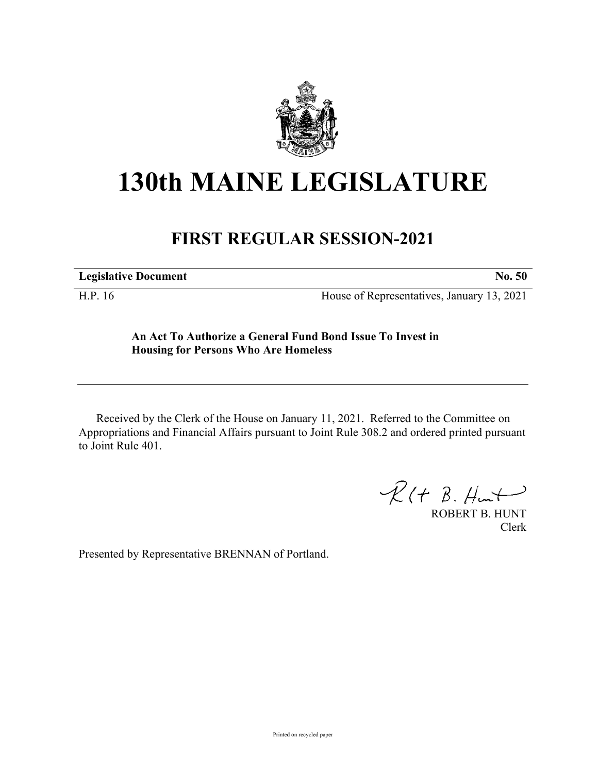

## **130th MAINE LEGISLATURE**

## **FIRST REGULAR SESSION-2021**

**Legislative Document No. 50**

H.P. 16 House of Representatives, January 13, 2021

## **An Act To Authorize a General Fund Bond Issue To Invest in Housing for Persons Who Are Homeless**

Received by the Clerk of the House on January 11, 2021. Referred to the Committee on Appropriations and Financial Affairs pursuant to Joint Rule 308.2 and ordered printed pursuant to Joint Rule 401.

 $R(H B. H<sub>un</sub>)$ 

ROBERT B. HUNT Clerk

Presented by Representative BRENNAN of Portland.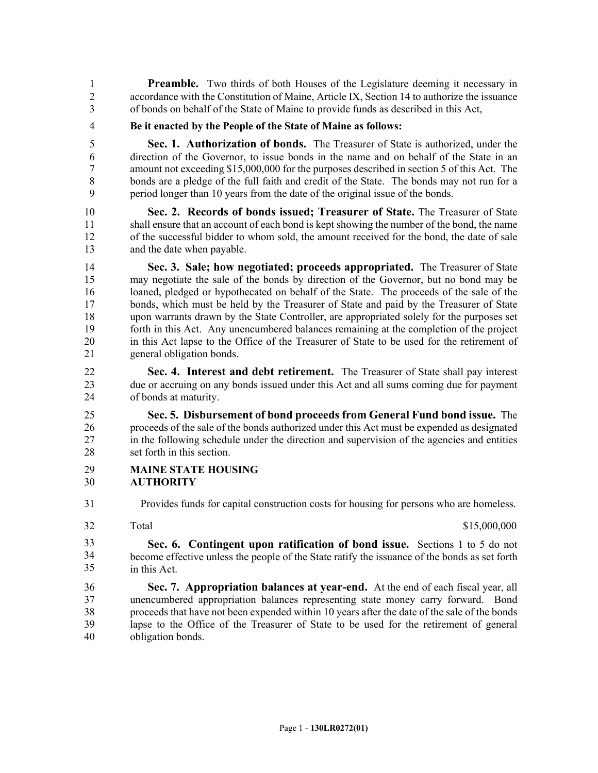**Preamble.** Two thirds of both Houses of the Legislature deeming it necessary in 2 accordance with the Constitution of Maine, Article IX, Section 14 to authorize the issuance 3 of bonds on behalf of the State of Maine to provide funds as described in this Act,

4 **Be it enacted by the People of the State of Maine as follows:**

5 **Sec. 1. Authorization of bonds.** The Treasurer of State is authorized, under the 6 direction of the Governor, to issue bonds in the name and on behalf of the State in an 7 amount not exceeding \$15,000,000 for the purposes described in section 5 of this Act. The 8 bonds are a pledge of the full faith and credit of the State. The bonds may not run for a 9 period longer than 10 years from the date of the original issue of the bonds.

10 **Sec. 2. Records of bonds issued; Treasurer of State.** The Treasurer of State 11 shall ensure that an account of each bond is kept showing the number of the bond, the name 12 of the successful bidder to whom sold, the amount received for the bond, the date of sale 13 and the date when payable.

14 **Sec. 3. Sale; how negotiated; proceeds appropriated.** The Treasurer of State 15 may negotiate the sale of the bonds by direction of the Governor, but no bond may be 16 loaned, pledged or hypothecated on behalf of the State. The proceeds of the sale of the 17 bonds, which must be held by the Treasurer of State and paid by the Treasurer of State 18 upon warrants drawn by the State Controller, are appropriated solely for the purposes set 19 forth in this Act. Any unencumbered balances remaining at the completion of the project 20 in this Act lapse to the Office of the Treasurer of State to be used for the retirement of 21 general obligation bonds.

22 **Sec. 4. Interest and debt retirement.** The Treasurer of State shall pay interest 23 due or accruing on any bonds issued under this Act and all sums coming due for payment 24 of bonds at maturity.

25 **Sec. 5. Disbursement of bond proceeds from General Fund bond issue.** The 26 proceeds of the sale of the bonds authorized under this Act must be expended as designated 27 in the following schedule under the direction and supervision of the agencies and entities 28 set forth in this section.

- 29 **MAINE STATE HOUSING**
- 30 **AUTHORITY**
- 31 Provides funds for capital construction costs for housing for persons who are homeless.
- 32

Total \$15,000,000 \$15,000,000 \$15,000,000 \$15,000,000 \$15,000,000 \$15,000 \$15,000 \$15,000 \$15,000 \$15,000 \$15,000 \$15,000 \$15,000 \$15,000 \$15,000 \$15,000 \$15,000 \$15,000 \$15,000 \$15,000 \$15,000 \$15,000 \$15,000 \$15,000 \$15,

32 **Sec. 6. Contingent upon ratification of bond issue.** Sections 1 to 5 do not 33 become effective unless the people of the State ratify the issuance of the bonds as set forth in this Act. 33 34 35

36 **Sec. 7. Appropriation balances at year-end.** At the end of each fiscal year, all 37 unencumbered appropriation balances representing state money carry forward. Bond 38 proceeds that have not been expended within 10 years after the date of the sale of the bonds 39 lapse to the Office of the Treasurer of State to be used for the retirement of general 40 obligation bonds.